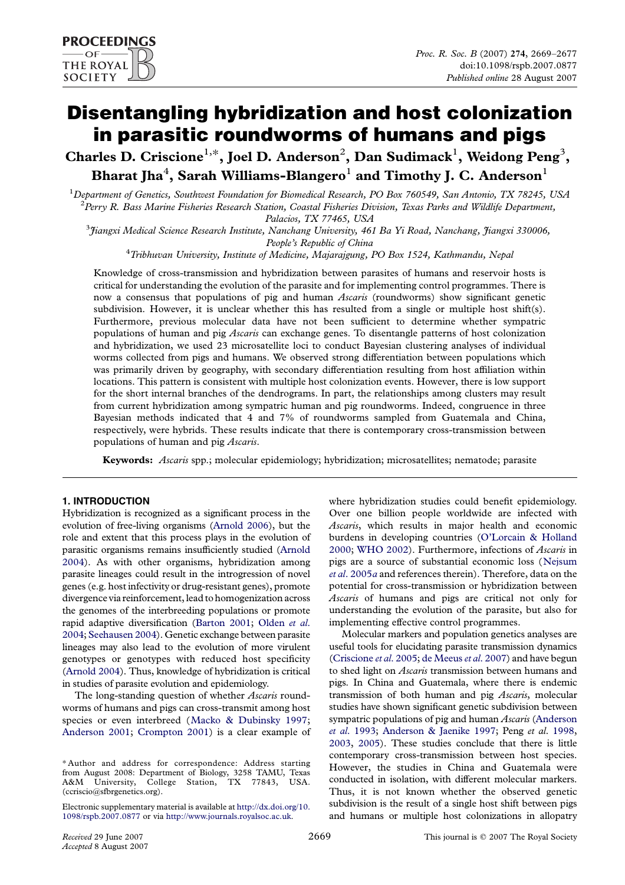# Disentangling hybridization and host colonization in parasitic roundworms of humans and pigs

Charles D. Criscione<sup>1,\*</sup>, Joel D. Anderson<sup>2</sup>, Dan Sudimack<sup>1</sup>, Weidong Peng<sup>3</sup>, Bharat Jha $^4\!$ , Sarah Williams-Blangero $^1$  and Timothy J. C. Anderson $^1$ 

<sup>1</sup>Department of Genetics, Southwest Foundation for Biomedical Research, PO Box 760549, San Antonio, TX 78245, USA  $^2$ Perry R. Bass Marine Fisheries Research Station, Coastal Fisheries Division, Texas Parks and Wildlife Department,

Palacios, TX 77465, USA<br>3 Jiangxi Medical Science Research Institute, Nanchang University, 461 Ba Yi Road, Nanchang, Jiangxi 330006,

People's Republic of China<br><sup>4</sup> Tribhuvan University, Institute of Medicine, Majarajgung, PO Box 1524, Kathmandu, Nepal

Knowledge of cross-transmission and hybridization between parasites of humans and reservoir hosts is critical for understanding the evolution of the parasite and for implementing control programmes. There is now a consensus that populations of pig and human *Ascaris* (roundworms) show significant genetic subdivision. However, it is unclear whether this has resulted from a single or multiple host shift(s). Furthermore, previous molecular data have not been sufficient to determine whether sympatric populations of human and pig *Ascaris* can exchange genes. To disentangle patterns of host colonization and hybridization, we used 23 microsatellite loci to conduct Bayesian clustering analyses of individual worms collected from pigs and humans. We observed strong differentiation between populations which was primarily driven by geography, with secondary differentiation resulting from host affiliation within locations. This pattern is consistent with multiple host colonization events. However, there is low support for the short internal branches of the dendrograms. In part, the relationships among clusters may result from current hybridization among sympatric human and pig roundworms. Indeed, congruence in three Bayesian methods indicated that 4 and 7% of roundworms sampled from Guatemala and China, respectively, were hybrids. These results indicate that there is contemporary cross-transmission between populations of human and pig Ascaris.

Keywords: Ascaris spp.; molecular epidemiology; hybridization; microsatellites; nematode; parasite

# 1. INTRODUCTION

Hybridization is recognized as a significant process in the evolution of free-living organisms [\(Arnold 2006\)](#page-7-0), but the role and extent that this process plays in the evolution of parasitic organisms remains insufficiently studied ([Arnold](#page-7-0) [2004](#page-7-0)). As with other organisms, hybridization among parasite lineages could result in the introgression of novel genes (e.g. host infectivity or drug-resistant genes), promote divergence via reinforcement, lead tohomogenization across the genomes of the interbreeding populations or promote rapid adaptive diversification [\(Barton 2001;](#page-7-0) [Olden](#page-8-0) et al. [2004;](#page-8-0) [Seehausen 2004\)](#page-8-0). Genetic exchange between parasite lineages may also lead to the evolution of more virulent genotypes or genotypes with reduced host specificity ([Arnold 2004](#page-7-0)). Thus, knowledge of hybridization is critical in studies of parasite evolution and epidemiology.

The long-standing question of whether Ascaris roundworms of humans and pigs can cross-transmit among host species or even interbreed ([Macko & Dubinsky 1997;](#page-8-0) [Anderson 2001](#page-7-0); [Crompton 2001](#page-7-0)) is a clear example of

where hybridization studies could benefit epidemiology. Over one billion people worldwide are infected with Ascaris, which results in major health and economic burdens in developing countries ([O'Lorcain & Holland](#page-8-0) [2000](#page-8-0); [WHO 2002\)](#page-8-0). Furthermore, infections of Ascaris in pigs are a source of substantial economic loss ([Nejsum](#page-8-0) et al[. 2005](#page-8-0)a and references therein). Therefore, data on the potential for cross-transmission or hybridization between Ascaris of humans and pigs are critical not only for understanding the evolution of the parasite, but also for implementing effective control programmes.

Molecular markers and population genetics analyses are useful tools for elucidating parasite transmission dynamics ([Criscione](#page-7-0) et al. 2005; [de Meeus](#page-7-0) et al. 2007) and have begun to shed light on Ascaris transmission between humans and pigs. In China and Guatemala, where there is endemic transmission of both human and pig Ascaris, molecular studies have shown significant genetic subdivision between sympatric populations of pig and human Ascaris [\(Anderson](#page-7-0) et al[. 1993;](#page-7-0) [Anderson & Jaenike 1997;](#page-7-0) Peng et al. [1998,](#page-8-0) [2003,](#page-8-0) [2005\)](#page-8-0). These studies conclude that there is little contemporary cross-transmission between host species. However, the studies in China and Guatemala were conducted in isolation, with different molecular markers. Thus, it is not known whether the observed genetic subdivision is the result of a single host shift between pigs and humans or multiple host colonizations in allopatry

<sup>\*</sup> Author and address for correspondence: Address starting from August 2008: Department of Biology, 3258 TAMU, Texas A&M University, College Station, TX 77843, USA. (ccriscio@sfbrgenetics.org).

Electronic supplementary material is available at [http://dx.doi.org/10.](http://dx.doi.org/10.1098/rspb.2007.0877) [1098/rspb.2007.0877](http://dx.doi.org/10.1098/rspb.2007.0877) or via <http://www.journals.royalsoc.ac.uk>.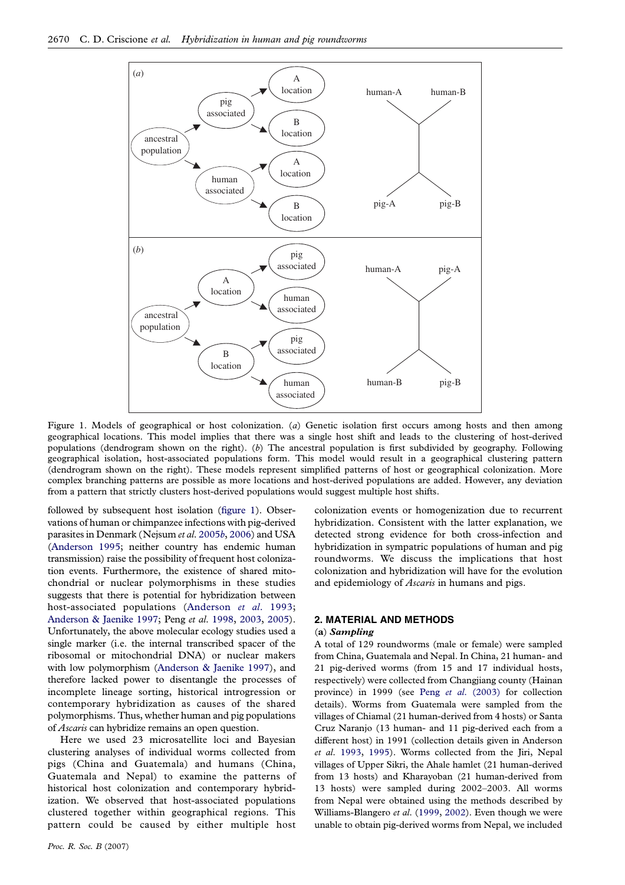<span id="page-1-0"></span>

Figure 1. Models of geographical or host colonization. (a) Genetic isolation first occurs among hosts and then among geographical locations. This model implies that there was a single host shift and leads to the clustering of host-derived populations (dendrogram shown on the right). (b) The ancestral population is first subdivided by geography. Following geographical isolation, host-associated populations form. This model would result in a geographical clustering pattern (dendrogram shown on the right). These models represent simplified patterns of host or geographical colonization. More complex branching patterns are possible as more locations and host-derived populations are added. However, any deviation from a pattern that strictly clusters host-derived populations would suggest multiple host shifts.

followed by subsequent host isolation (figure 1). Observations of human or chimpanzee infections with pig-derived parasites in Denmark (Nejsum et al. [2005](#page-8-0)b, [2006](#page-8-0)) and USA ([Anderson 1995;](#page-7-0) neither country has endemic human transmission) raise the possibility of frequent host colonization events. Furthermore, the existence of shared mitochondrial or nuclear polymorphisms in these studies suggests that there is potential for hybridization between host-associated populations ([Anderson](#page-7-0) et al. 1993; [Anderson & Jaenike 1997;](#page-7-0) Peng et al. [1998](#page-8-0), [2003,](#page-8-0) [2005](#page-8-0)). Unfortunately, the above molecular ecology studies used a single marker (i.e. the internal transcribed spacer of the ribosomal or mitochondrial DNA) or nuclear makers with low polymorphism [\(Anderson & Jaenike 1997](#page-7-0)), and therefore lacked power to disentangle the processes of incomplete lineage sorting, historical introgression or contemporary hybridization as causes of the shared polymorphisms. Thus, whether human and pig populations of Ascaris can hybridize remains an open question.

Here we used 23 microsatellite loci and Bayesian clustering analyses of individual worms collected from pigs (China and Guatemala) and humans (China, Guatemala and Nepal) to examine the patterns of historical host colonization and contemporary hybridization. We observed that host-associated populations clustered together within geographical regions. This pattern could be caused by either multiple host

colonization events or homogenization due to recurrent hybridization. Consistent with the latter explanation, we detected strong evidence for both cross-infection and hybridization in sympatric populations of human and pig roundworms. We discuss the implications that host colonization and hybridization will have for the evolution and epidemiology of Ascaris in humans and pigs.

# 2. MATERIAL AND METHODS

## (a) Sampling

A total of 129 roundworms (male or female) were sampled from China, Guatemala and Nepal. In China, 21 human- and 21 pig-derived worms (from 15 and 17 individual hosts, respectively) were collected from Changjiang county (Hainan province) in 1999 (see Peng et al[. \(2003\)](#page-8-0) for collection details). Worms from Guatemala were sampled from the villages of Chiamal (21 human-derived from 4 hosts) or Santa Cruz Naranjo (13 human- and 11 pig-derived each from a different host) in 1991 (collection details given in Anderson et al. [1993,](#page-7-0) [1995\)](#page-7-0). Worms collected from the Jiri, Nepal villages of Upper Sikri, the Ahale hamlet (21 human-derived from 13 hosts) and Kharayoban (21 human-derived from 13 hosts) were sampled during 2002–2003. All worms from Nepal were obtained using the methods described by Williams-Blangero et al. [\(1999](#page-8-0), [2002](#page-8-0)). Even though we were unable to obtain pig-derived worms from Nepal, we included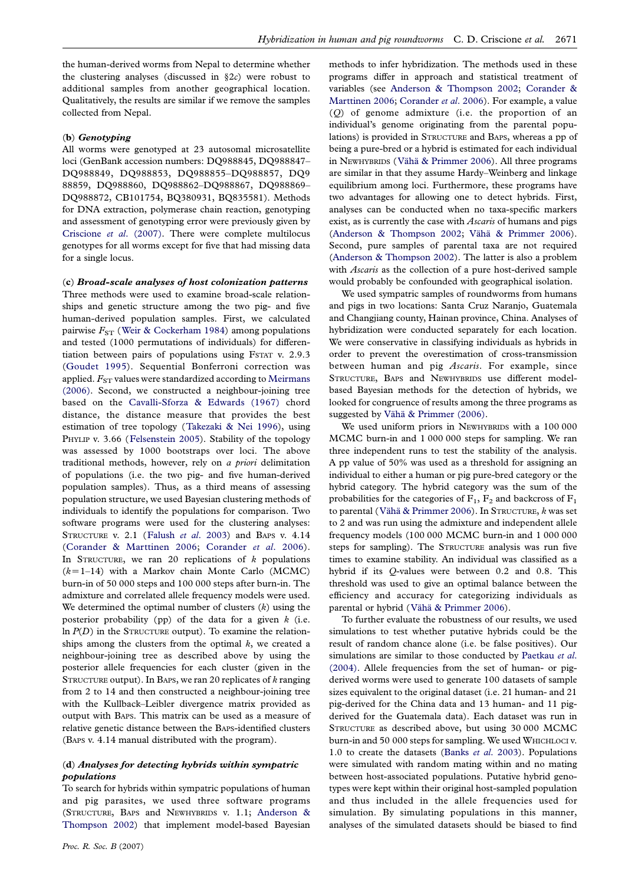the human-derived worms from Nepal to determine whether the clustering analyses (discussed in  $\S 2c$ ) were robust to additional samples from another geographical location. Qualitatively, the results are similar if we remove the samples collected from Nepal.

#### (b) Genotyping

All worms were genotyped at 23 autosomal microsatellite loci (GenBank accession numbers: DQ988845, DQ988847– DQ988849, DQ988853, DQ988855–DQ988857, DQ9 88859, DQ988860, DQ988862–DQ988867, DQ988869– DQ988872, CB101754, BQ380931, BQ835581). Methods for DNA extraction, polymerase chain reaction, genotyping and assessment of genotyping error were previously given by [Criscione](#page-7-0) et al. (2007). There were complete multilocus genotypes for all worms except for five that had missing data for a single locus.

(c) Broad-scale analyses of host colonization patterns Three methods were used to examine broad-scale relationships and genetic structure among the two pig- and five human-derived population samples. First, we calculated pairwise  $F_{ST}$  ([Weir & Cockerham 1984](#page-8-0)) among populations and tested (1000 permutations of individuals) for differentiation between pairs of populations using FSTAT v. 2.9.3 ([Goudet 1995\)](#page-8-0). Sequential Bonferroni correction was applied.  $F_{ST}$  values were standardized according to [Meirmans](#page-8-0) [\(2006\)](#page-8-0). Second, we constructed a neighbour-joining tree based on the [Cavalli-Sforza & Edwards \(1967\)](#page-7-0) chord distance, the distance measure that provides the best estimation of tree topology ([Takezaki & Nei 1996](#page-8-0)), using PHYLIP v. 3.66 ([Felsenstein 2005](#page-8-0)). Stability of the topology was assessed by 1000 bootstraps over loci. The above traditional methods, however, rely on a priori delimitation of populations (i.e. the two pig- and five human-derived population samples). Thus, as a third means of assessing population structure, we used Bayesian clustering methods of individuals to identify the populations for comparison. Two software programs were used for the clustering analyses: STRUCTURE v. 2.1 (Falush et al[. 2003](#page-7-0)) and BAPS v. 4.14 ([Corander & Marttinen 2006;](#page-7-0) [Corander](#page-7-0) et al. 2006). In STRUCTURE, we ran 20 replications of  $k$  populations  $(k=1-14)$  with a Markov chain Monte Carlo (MCMC) burn-in of 50 000 steps and 100 000 steps after burn-in. The admixture and correlated allele frequency models were used. We determined the optimal number of clusters  $(k)$  using the posterior probability (pp) of the data for a given  $k$  (i.e.  $\ln P(D)$  in the STRUCTURE output). To examine the relationships among the clusters from the optimal  $k$ , we created a neighbour-joining tree as described above by using the posterior allele frequencies for each cluster (given in the STRUCTURE output). In BAPS, we ran 20 replicates of  $k$  ranging from 2 to 14 and then constructed a neighbour-joining tree with the Kullback–Leibler divergence matrix provided as output with BAPS. This matrix can be used as a measure of relative genetic distance between the BAPS-identified clusters (BAPS v. 4.14 manual distributed with the program).

# (d) Analyses for detecting hybrids within sympatric populations

To search for hybrids within sympatric populations of human and pig parasites, we used three software programs (STRUCTURE, BAPS and NEWHYBRIDS v. 1.1; [Anderson &](#page-7-0) [Thompson 2002\)](#page-7-0) that implement model-based Bayesian

methods to infer hybridization. The methods used in these programs differ in approach and statistical treatment of variables (see [Anderson & Thompson 2002](#page-7-0); [Corander &](#page-7-0) [Marttinen 2006](#page-7-0); [Corander](#page-7-0) et al. 2006). For example, a value (Q) of genome admixture (i.e. the proportion of an individual's genome originating from the parental populations) is provided in STRUCTURE and BAPS, whereas a pp of being a pure-bred or a hybrid is estimated for each individual in NEWHYBRIDS (Vähä & Primmer 2006). All three programs are similar in that they assume Hardy–Weinberg and linkage equilibrium among loci. Furthermore, these programs have two advantages for allowing one to detect hybrids. First, analyses can be conducted when no taxa-specific markers exist, as is currently the case with *Ascaris* of humans and pigs ([Anderson & Thompson 2002](#page-7-0); Vähä & Primmer 2006). Second, pure samples of parental taxa are not required ([Anderson & Thompson 2002](#page-7-0)). The latter is also a problem with *Ascaris* as the collection of a pure host-derived sample would probably be confounded with geographical isolation.

We used sympatric samples of roundworms from humans and pigs in two locations: Santa Cruz Naranjo, Guatemala and Changjiang county, Hainan province, China. Analyses of hybridization were conducted separately for each location. We were conservative in classifying individuals as hybrids in order to prevent the overestimation of cross-transmission between human and pig Ascaris. For example, since STRUCTURE, BAPS and NEWHYBRIDS use different modelbased Bayesian methods for the detection of hybrids, we looked for congruence of results among the three programs as suggested by Vähä & Primmer (2006).

We used uniform priors in NEWHYBRIDS with a 100 000 MCMC burn-in and 1 000 000 steps for sampling. We ran three independent runs to test the stability of the analysis. A pp value of 50% was used as a threshold for assigning an individual to either a human or pig pure-bred category or the hybrid category. The hybrid category was the sum of the probabilities for the categories of  $F_1$ ,  $F_2$  and backcross of  $F_1$ to parental (Vähä & Primmer 2006). In STRUCTURE,  $k$  was set to 2 and was run using the admixture and independent allele frequency models (100 000 MCMC burn-in and 1 000 000 steps for sampling). The STRUCTURE analysis was run five times to examine stability. An individual was classified as a hybrid if its Q-values were between 0.2 and 0.8. This threshold was used to give an optimal balance between the efficiency and accuracy for categorizing individuals as parental or hybrid (Vähä & Primmer 2006).

To further evaluate the robustness of our results, we used simulations to test whether putative hybrids could be the result of random chance alone (i.e. be false positives). Our simulations are similar to those conducted by [Paetkau](#page-8-0) et al. [\(2004\)](#page-8-0). Allele frequencies from the set of human- or pigderived worms were used to generate 100 datasets of sample sizes equivalent to the original dataset (i.e. 21 human- and 21 pig-derived for the China data and 13 human- and 11 pigderived for the Guatemala data). Each dataset was run in STRUCTURE as described above, but using 30 000 MCMC burn-in and 50 000 steps for sampling. We used WHICHLOCI v. 1.0 to create the datasets (Banks et al[. 2003](#page-7-0)). Populations were simulated with random mating within and no mating between host-associated populations. Putative hybrid genotypes were kept within their original host-sampled population and thus included in the allele frequencies used for simulation. By simulating populations in this manner, analyses of the simulated datasets should be biased to find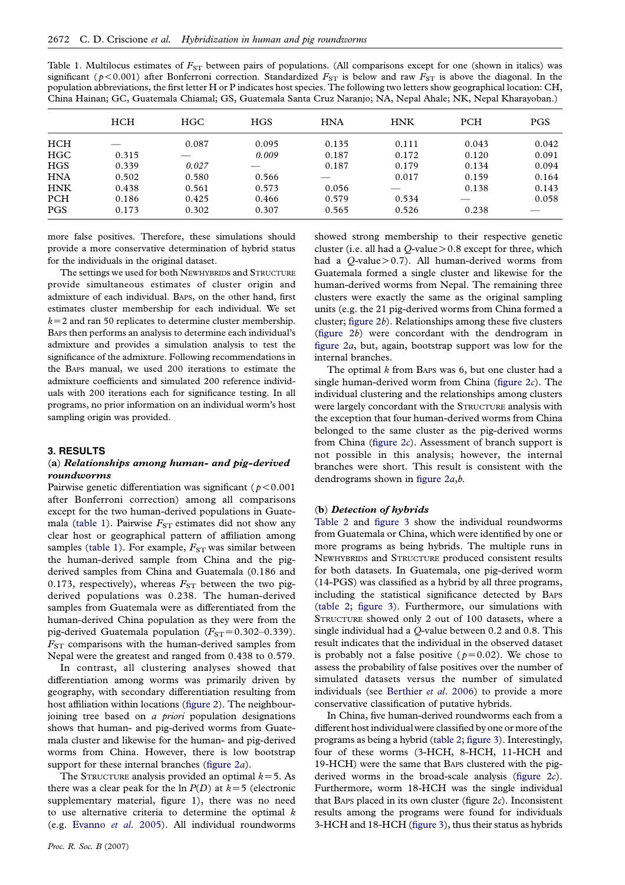<span id="page-3-0"></span>

| Table 1. Multilocus estimates of $F_{ST}$ between pairs of populations. (All comparisons except for one (shown in italics) was         |
|----------------------------------------------------------------------------------------------------------------------------------------|
| significant ( $p < 0.001$ ) after Bonferroni correction. Standardized $F_{ST}$ is below and raw $F_{ST}$ is above the diagonal. In the |
| population abbreviations, the first letter H or P indicates host species. The following two letters show geographical location: CH,    |
| China Hainan; GC, Guatemala Chiamal; GS, Guatemala Santa Cruz Naranjo; NA, Nepal Ahale; NK, Nepal Kharayoban.)                         |

|            | <b>HCH</b> | <b>HGC</b> | <b>HGS</b> | <b>HNA</b> | <b>HNK</b> | PCH   | <b>PGS</b> |
|------------|------------|------------|------------|------------|------------|-------|------------|
| <b>HCH</b> |            | 0.087      | 0.095      | 0.135      | 0.111      | 0.043 | 0.042      |
| <b>HGC</b> | 0.315      |            | 0.009      | 0.187      | 0.172      | 0.120 | 0.091      |
| <b>HGS</b> | 0.339      | 0.027      |            | 0.187      | 0.179      | 0.134 | 0.094      |
| <b>HNA</b> | 0.502      | 0.580      | 0.566      |            | 0.017      | 0.159 | 0.164      |
| <b>HNK</b> | 0.438      | 0.561      | 0.573      | 0.056      |            | 0.138 | 0.143      |
| <b>PCH</b> | 0.186      | 0.425      | 0.466      | 0.579      | 0.534      |       | 0.058      |
| <b>PGS</b> | 0.173      | 0.302      | 0.307      | 0.565      | 0.526      | 0.238 |            |

more false positives. Therefore, these simulations should provide a more conservative determination of hybrid status for the individuals in the original dataset.

The settings we used for both NEWHYBRIDS and STRUCTURE provide simultaneous estimates of cluster origin and admixture of each individual. BAPS, on the other hand, first estimates cluster membership for each individual. We set  $k=2$  and ran 50 replicates to determine cluster membership. BAPS then performs an analysis to determine each individual's admixture and provides a simulation analysis to test the significance of the admixture. Following recommendations in the BAPS manual, we used 200 iterations to estimate the admixture coefficients and simulated 200 reference individuals with 200 iterations each for significance testing. In all programs, no prior information on an individual worm's host sampling origin was provided.

#### 3. RESULTS

## (a) Relationships among human- and pig-derived roundworms

Pairwise genetic differentiation was significant ( $p$ <0.001 after Bonferroni correction) among all comparisons except for the two human-derived populations in Guatemala (table 1). Pairwise  $F_{ST}$  estimates did not show any clear host or geographical pattern of affiliation among samples (table 1). For example,  $F_{ST}$  was similar between the human-derived sample from China and the pigderived samples from China and Guatemala (0.186 and 0.173, respectively), whereas  $F_{ST}$  between the two pigderived populations was 0.238. The human-derived samples from Guatemala were as differentiated from the human-derived China population as they were from the pig-derived Guatemala population ( $F_{ST}$ =0.302–0.339).  $F_{ST}$  comparisons with the human-derived samples from Nepal were the greatest and ranged from 0.438 to 0.579.

In contrast, all clustering analyses showed that differentiation among worms was primarily driven by geography, with secondary differentiation resulting from host affiliation within locations ([figure 2\)](#page-4-0). The neighbourjoining tree based on *a priori* population designations shows that human- and pig-derived worms from Guatemala cluster and likewise for the human- and pig-derived worms from China. However, there is low bootstrap support for these internal branches (figure  $2a$ ).

The STRUCTURE analysis provided an optimal  $k=5$ . As there was a clear peak for the ln  $P(D)$  at  $k=5$  (electronic supplementary material, figure 1), there was no need to use alternative criteria to determine the optimal  $k$ (e.g. [Evanno](#page-7-0) et al. 2005). All individual roundworms showed strong membership to their respective genetic cluster (i.e. all had a  $Q$ -value $> 0.8$  except for three, which had a  $Q$ -value $> 0.7$ ). All human-derived worms from Guatemala formed a single cluster and likewise for the human-derived worms from Nepal. The remaining three clusters were exactly the same as the original sampling units (e.g. the 21 pig-derived worms from China formed a cluster; figure  $2b$ ). Relationships among these five clusters [\(figure 2](#page-4-0)b) were concordant with the dendrogram in [figure 2](#page-4-0)a, but, again, bootstrap support was low for the internal branches.

The optimal k from BAPS was 6, but one cluster had a single human-derived worm from China (figure  $2c$ ). The individual clustering and the relationships among clusters were largely concordant with the STRUCTURE analysis with the exception that four human-derived worms from China belonged to the same cluster as the pig-derived worms from China ([figure 2](#page-4-0)c). Assessment of branch support is not possible in this analysis; however, the internal branches were short. This result is consistent with the dendrograms shown in [figure 2](#page-4-0)a,b.

#### (b) Detection of hybrids

[Table 2](#page-5-0) and [figure 3](#page-5-0) show the individual roundworms from Guatemala or China, which were identified by one or more programs as being hybrids. The multiple runs in NEWHYBRIDS and STRUCTURE produced consistent results for both datasets. In Guatemala, one pig-derived worm (14-PGS) was classified as a hybrid by all three programs, including the statistical significance detected by BAPS [\(table 2](#page-5-0); [figure 3](#page-5-0)). Furthermore, our simulations with STRUCTURE showed only 2 out of 100 datasets, where a single individual had a Q-value between 0.2 and 0.8. This result indicates that the individual in the observed dataset is probably not a false positive ( $p=0.02$ ). We chose to assess the probability of false positives over the number of simulated datasets versus the number of simulated individuals (see [Berthier](#page-7-0) et al. 2006) to provide a more conservative classification of putative hybrids.

In China, five human-derived roundworms each from a different host individual were classified byone or more of the programs as being a hybrid ([table 2](#page-5-0); [figure 3\)](#page-5-0). Interestingly, four of these worms (3-HCH, 8-HCH, 11-HCH and 19-HCH) were the same that BAPS clustered with the pigderived worms in the broad-scale analysis ([figure 2](#page-4-0)c). Furthermore, worm 18-HCH was the single individual that BAPS placed in its own cluster (figure  $2c$ ). Inconsistent results among the programs were found for individuals 3-HCH and 18-HCH [\(figure 3\)](#page-5-0), thus their status as hybrids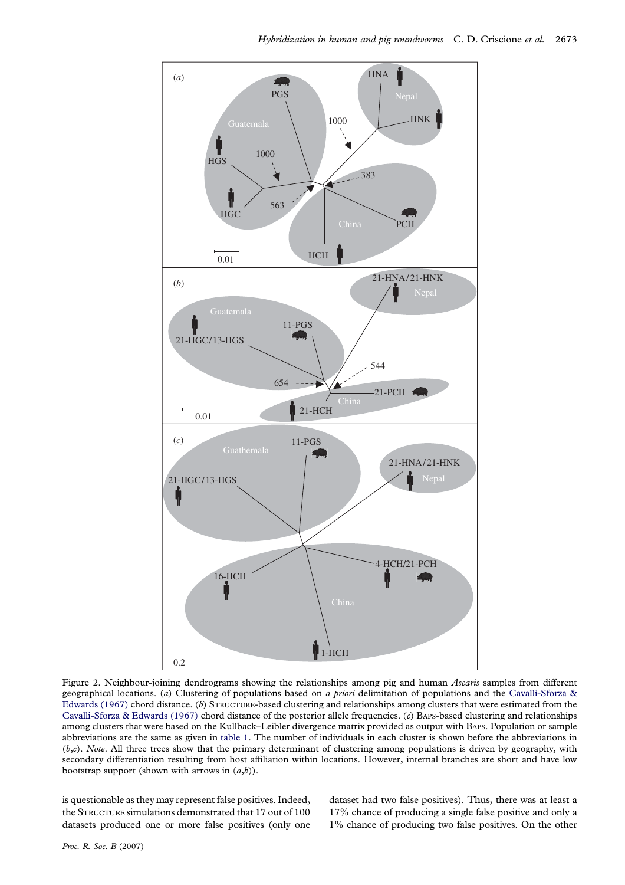<span id="page-4-0"></span>

Figure 2. Neighbour-joining dendrograms showing the relationships among pig and human Ascaris samples from different geographical locations. (a) Clustering of populations based on a priori delimitation of populations and the Cavalli-Sforza  $\&$ [Edwards \(1967\)](#page-7-0) chord distance. (b) STRUCTURE-based clustering and relationships among clusters that were estimated from the [Cavalli-Sforza & Edwards \(1967\)](#page-7-0) chord distance of the posterior allele frequencies. (c) BAPS-based clustering and relationships among clusters that were based on the Kullback–Leibler divergence matrix provided as output with BAPS. Population or sample abbreviations are the same as given in [table 1.](#page-3-0) The number of individuals in each cluster is shown before the abbreviations in  $(b,c)$ . Note. All three trees show that the primary determinant of clustering among populations is driven by geography, with secondary differentiation resulting from host affiliation within locations. However, internal branches are short and have low bootstrap support (shown with arrows in  $(a,b)$ ).

is questionable as they may represent false positives. Indeed, the STRUCTURE simulations demonstrated that 17 out of 100 datasets produced one or more false positives (only one dataset had two false positives). Thus, there was at least a 17% chance of producing a single false positive and only a 1% chance of producing two false positives. On the other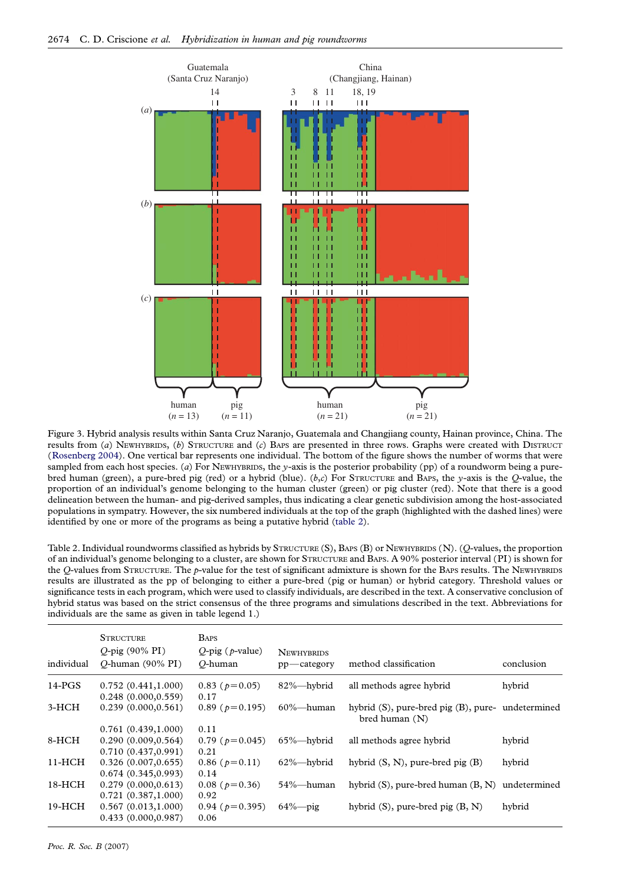<span id="page-5-0"></span>

Figure 3. Hybrid analysis results within Santa Cruz Naranjo, Guatemala and Changjiang county, Hainan province, China. The results from (a) NEWHYBRIDS, (b) STRUCTURE and (c) BAPS are presented in three rows. Graphs were created with DISTRUCT ([Rosenberg 2004](#page-8-0)). One vertical bar represents one individual. The bottom of the figure shows the number of worms that were sampled from each host species. (a) For NEWHYBRIDS, the y-axis is the posterior probability (pp) of a roundworm being a purebred human (green), a pure-bred pig (red) or a hybrid (blue). ( $b,c$ ) For STRUCTURE and BAPS, the y-axis is the O-value, the proportion of an individual's genome belonging to the human cluster (green) or pig cluster (red). Note that there is a good delineation between the human- and pig-derived samples, thus indicating a clear genetic subdivision among the host-associated populations in sympatry. However, the six numbered individuals at the top of the graph (highlighted with the dashed lines) were identified by one or more of the programs as being a putative hybrid (table 2).

Table 2. Individual roundworms classified as hybrids by STRUCTURE (S), BAPS (B) or NEWHYBRIDS (N). (Q-values, the proportion of an individual's genome belonging to a cluster, are shown for STRUCTURE and BAPS. A 90% posterior interval (PI) is shown for the Q-values from STRUCTURE. The p-value for the test of significant admixture is shown for the BAPS results. The NEWHYBRIDS results are illustrated as the pp of belonging to either a pure-bred (pig or human) or hybrid category. Threshold values or significance tests in each program, which were used to classify individuals, are described in the text. A conservative conclusion of hybrid status was based on the strict consensus of the three programs and simulations described in the text. Abbreviations for individuals are the same as given in table legend 1.)

| individual | <b>STRUCTURE</b><br>$O$ -pig (90% PI)<br>O-human $(90\% \text{ PI})$ | <b>BAPS</b><br>$Q$ -pig ( $p$ -value)<br>O-human | <b>NEWHYBRIDS</b><br>$pp$ - category | method classification                                                       | conclusion |
|------------|----------------------------------------------------------------------|--------------------------------------------------|--------------------------------------|-----------------------------------------------------------------------------|------------|
| $14$ -PGS  | 0.752(0.441, 1.000)<br>0.248(0.000, 0.559)                           | $0.83$ ( $p=0.05$ )<br>0.17                      | 82%-hybrid                           | all methods agree hybrid                                                    | hybrid     |
| $3-HCH$    | 0.239(0.000, 0.561)                                                  | $0.89$ ( $p=0.195$ )                             | $60\%$ —human                        | hybrid $(S)$ , pure-bred pig $(B)$ , pure- undetermined<br>bred human $(N)$ |            |
|            | 0.761(0.439, 1.000)                                                  | 0.11                                             |                                      |                                                                             |            |
| 8-HCH      | 0.290(0.009, 0.564)                                                  | $0.79$ ( $p=0.045$ )                             | $65\%$ —hybrid                       | all methods agree hybrid                                                    | hybrid     |
|            | 0.710(0.437, 0.991)                                                  | 0.21                                             |                                      |                                                                             |            |
| $11-HCH$   | 0.326(0.007, 0.655)                                                  | $0.86$ ( $p=0.11$ )                              | $62\%$ -hybrid                       | hybrid $(S, N)$ , pure-bred pig $(B)$                                       | hybrid     |
|            | 0.674(0.345, 0.993)                                                  | 0.14                                             |                                      |                                                                             |            |
| $18-HCH$   | 0.279(0.000, 0.613)                                                  | $0.08$ ( $p=0.36$ )                              | 54%—human                            | hybrid $(S)$ , pure-bred human $(B, N)$ undetermined                        |            |
|            | 0.721(0.387, 1.000)                                                  | 0.92                                             |                                      |                                                                             |            |
| $19-HCH$   | 0.567(0.013, 1.000)                                                  | $0.94$ ( $p=0.395$ )                             | $64\%$ -pig                          | hybrid $(S)$ , pure-bred pig $(B, N)$                                       | hybrid     |
|            | 0.433(0.000, 0.987)                                                  | 0.06                                             |                                      |                                                                             |            |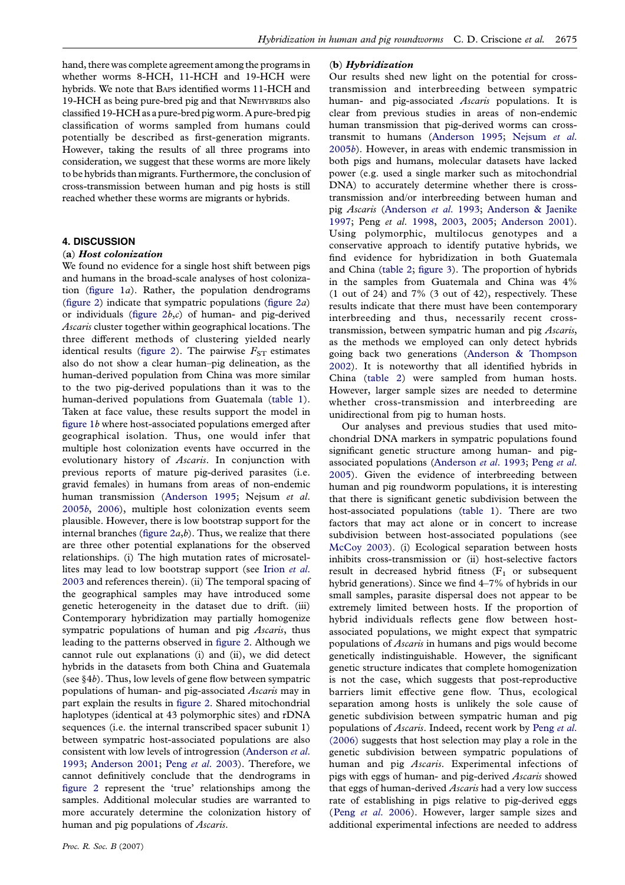hand, there was complete agreement among the programs in whether worms 8-HCH, 11-HCH and 19-HCH were hybrids. We note that BAPS identified worms 11-HCH and 19-HCH as being pure-bred pig and that NEWHYBRIDS also classified 19-HCH as a pure-bred pig worm. A pure-bred pig classification of worms sampled from humans could potentially be described as first-generation migrants. However, taking the results of all three programs into consideration, we suggest that these worms are more likely to be hybrids than migrants. Furthermore, the conclusion of cross-transmission between human and pig hosts is still reached whether these worms are migrants or hybrids.

#### 4. DISCUSSION

#### (a) Host colonization

We found no evidence for a single host shift between pigs and humans in the broad-scale analyses of host colonization (figure  $1a$ ). Rather, the population dendrograms ([figure 2\)](#page-4-0) indicate that sympatric populations (figure  $2a$ ) or individuals (figure  $2b,c$ ) of human- and pig-derived Ascaris cluster together within geographical locations. The three different methods of clustering yielded nearly identical results ([figure 2](#page-4-0)). The pairwise  $F_{ST}$  estimates also do not show a clear human–pig delineation, as the human-derived population from China was more similar to the two pig-derived populations than it was to the human-derived populations from Guatemala ([table 1\)](#page-3-0). Taken at face value, these results support the model in [figure 1](#page-1-0)b where host-associated populations emerged after geographical isolation. Thus, one would infer that multiple host colonization events have occurred in the evolutionary history of Ascaris. In conjunction with previous reports of mature pig-derived parasites (i.e. gravid females) in humans from areas of non-endemic human transmission ([Anderson 1995;](#page-7-0) Nejsum et al. [2005](#page-8-0)b, [2006\)](#page-8-0), multiple host colonization events seem plausible. However, there is low bootstrap support for the internal branches (figure  $2a,b$ ). Thus, we realize that there are three other potential explanations for the observed relationships. (i) The high mutation rates of microsatellites may lead to low bootstrap support (see [Irion](#page-8-0) et al. [2003](#page-8-0) and references therein). (ii) The temporal spacing of the geographical samples may have introduced some genetic heterogeneity in the dataset due to drift. (iii) Contemporary hybridization may partially homogenize sympatric populations of human and pig Ascaris, thus leading to the patterns observed in [figure 2](#page-4-0). Although we cannot rule out explanations (i) and (ii), we did detect hybrids in the datasets from both China and Guatemala (see §4b). Thus, low levels of gene flow between sympatric populations of human- and pig-associated Ascaris may in part explain the results in [figure 2.](#page-4-0) Shared mitochondrial haplotypes (identical at 43 polymorphic sites) and rDNA sequences (i.e. the internal transcribed spacer subunit 1) between sympatric host-associated populations are also consistent with low levels of introgression [\(Anderson](#page-7-0) et al. [1993](#page-7-0); [Anderson 2001](#page-7-0); Peng et al[. 2003](#page-8-0)). Therefore, we cannot definitively conclude that the dendrograms in [figure 2](#page-4-0) represent the 'true' relationships among the samples. Additional molecular studies are warranted to more accurately determine the colonization history of human and pig populations of *Ascaris*.

# (b) Hybridization

Our results shed new light on the potential for crosstransmission and interbreeding between sympatric human- and pig-associated Ascaris populations. It is clear from previous studies in areas of non-endemic human transmission that pig-derived worms can crosstransmit to humans [\(Anderson 1995;](#page-7-0) [Nejsum](#page-8-0) et al. [2005](#page-8-0)b). However, in areas with endemic transmission in both pigs and humans, molecular datasets have lacked power (e.g. used a single marker such as mitochondrial DNA) to accurately determine whether there is crosstransmission and/or interbreeding between human and pig Ascaris [\(Anderson](#page-7-0) et al. 1993; [Anderson & Jaenike](#page-7-0) [1997](#page-7-0); Peng et al. [1998](#page-8-0), [2003,](#page-8-0) [2005;](#page-8-0) [Anderson 2001](#page-7-0)). Using polymorphic, multilocus genotypes and a conservative approach to identify putative hybrids, we find evidence for hybridization in both Guatemala and China ([table 2](#page-5-0); [figure 3](#page-5-0)). The proportion of hybrids in the samples from Guatemala and China was 4% (1 out of 24) and 7% (3 out of 42), respectively. These results indicate that there must have been contemporary interbreeding and thus, necessarily recent crosstransmission, between sympatric human and pig Ascaris, as the methods we employed can only detect hybrids going back two generations ([Anderson & Thompson](#page-7-0) [2002](#page-7-0)). It is noteworthy that all identified hybrids in China ([table 2\)](#page-5-0) were sampled from human hosts. However, larger sample sizes are needed to determine whether cross-transmission and interbreeding are unidirectional from pig to human hosts.

Our analyses and previous studies that used mitochondrial DNA markers in sympatric populations found significant genetic structure among human- and pigassociated populations [\(Anderson](#page-7-0) et al. 1993; [Peng](#page-8-0) et al. [2005](#page-8-0)). Given the evidence of interbreeding between human and pig roundworm populations, it is interesting that there is significant genetic subdivision between the host-associated populations [\(table 1\)](#page-3-0). There are two factors that may act alone or in concert to increase subdivision between host-associated populations (see [McCoy 2003\)](#page-8-0). (i) Ecological separation between hosts inhibits cross-transmission or (ii) host-selective factors result in decreased hybrid fitness  $(F_1 \text{ or }$  subsequent hybrid generations). Since we find 4–7% of hybrids in our small samples, parasite dispersal does not appear to be extremely limited between hosts. If the proportion of hybrid individuals reflects gene flow between hostassociated populations, we might expect that sympatric populations of Ascaris in humans and pigs would become genetically indistinguishable. However, the significant genetic structure indicates that complete homogenization is not the case, which suggests that post-reproductive barriers limit effective gene flow. Thus, ecological separation among hosts is unlikely the sole cause of genetic subdivision between sympatric human and pig populations of Ascaris. Indeed, recent work by [Peng](#page-8-0) et al. [\(2006\)](#page-8-0) suggests that host selection may play a role in the genetic subdivision between sympatric populations of human and pig Ascaris. Experimental infections of pigs with eggs of human- and pig-derived Ascaris showed that eggs of human-derived Ascaris had a very low success rate of establishing in pigs relative to pig-derived eggs (Peng et al[. 2006](#page-8-0)). However, larger sample sizes and additional experimental infections are needed to address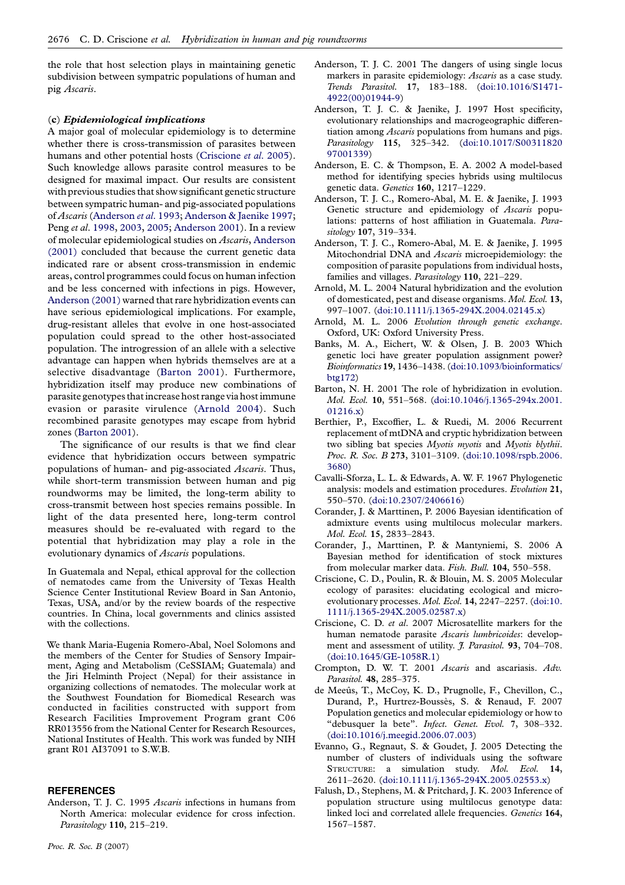<span id="page-7-0"></span>the role that host selection plays in maintaining genetic subdivision between sympatric populations of human and pig Ascaris.

#### (c) Epidemiological implications

A major goal of molecular epidemiology is to determine whether there is cross-transmission of parasites between humans and other potential hosts (Criscione et al. 2005). Such knowledge allows parasite control measures to be designed for maximal impact. Our results are consistent with previous studies that show significant genetic structure between sympatric human- and pig-associated populations of Ascaris (Anderson et al. 1993; Anderson & Jaenike 1997; Peng et al. [1998](#page-8-0), [2003,](#page-8-0) [2005;](#page-8-0) Anderson 2001). In a review of molecular epidemiological studies on Ascaris, Anderson (2001) concluded that because the current genetic data indicated rare or absent cross-transmission in endemic areas, control programmes could focus on human infection and be less concerned with infections in pigs. However, Anderson (2001) warned that rare hybridization events can have serious epidemiological implications. For example, drug-resistant alleles that evolve in one host-associated population could spread to the other host-associated population. The introgression of an allele with a selective advantage can happen when hybrids themselves are at a selective disadvantage (Barton 2001). Furthermore, hybridization itself may produce new combinations of parasite genotypes that increase host range via host immune evasion or parasite virulence (Arnold 2004). Such recombined parasite genotypes may escape from hybrid zones (Barton 2001).

The significance of our results is that we find clear evidence that hybridization occurs between sympatric populations of human- and pig-associated Ascaris. Thus, while short-term transmission between human and pig roundworms may be limited, the long-term ability to cross-transmit between host species remains possible. In light of the data presented here, long-term control measures should be re-evaluated with regard to the potential that hybridization may play a role in the evolutionary dynamics of *Ascaris* populations.

In Guatemala and Nepal, ethical approval for the collection of nematodes came from the University of Texas Health Science Center Institutional Review Board in San Antonio, Texas, USA, and/or by the review boards of the respective countries. In China, local governments and clinics assisted with the collections.

We thank Maria-Eugenia Romero-Abal, Noel Solomons and the members of the Center for Studies of Sensory Impairment, Aging and Metabolism (CeSSIAM; Guatemala) and the Jiri Helminth Project (Nepal) for their assistance in organizing collections of nematodes. The molecular work at the Southwest Foundation for Biomedical Research was conducted in facilities constructed with support from Research Facilities Improvement Program grant C06 RR013556 from the National Center for Research Resources, National Institutes of Health. This work was funded by NIH grant R01 AI37091 to S.W.B.

#### **REFERENCES**

Anderson, T. J. C. 1995 Ascaris infections in humans from North America: molecular evidence for cross infection. Parasitology 110, 215–219.

- Anderson, T. J. C. 2001 The dangers of using single locus markers in parasite epidemiology: Ascaris as a case study. Trends Parasitol. 17, 183–188. [\(doi:10.1016/S1471-](http://dx.doi.org/doi:10.1016/S1471-4922(00)01944-9) [4922\(00\)01944-9\)](http://dx.doi.org/doi:10.1016/S1471-4922(00)01944-9)
- Anderson, T. J. C. & Jaenike, J. 1997 Host specificity, evolutionary relationships and macrogeographic differentiation among Ascaris populations from humans and pigs. Parasitology 115, 325–342. ([doi:10.1017/S00311820](http://dx.doi.org/doi:10.1017/S0031182097001339) [97001339\)](http://dx.doi.org/doi:10.1017/S0031182097001339)
- Anderson, E. C. & Thompson, E. A. 2002 A model-based method for identifying species hybrids using multilocus genetic data. Genetics 160, 1217–1229.
- Anderson, T. J. C., Romero-Abal, M. E. & Jaenike, J. 1993 Genetic structure and epidemiology of Ascaris populations: patterns of host affiliation in Guatemala. Parasitology 107, 319–334.
- Anderson, T. J. C., Romero-Abal, M. E. & Jaenike, J. 1995 Mitochondrial DNA and Ascaris microepidemiology: the composition of parasite populations from individual hosts, families and villages. Parasitology 110, 221–229.
- Arnold, M. L. 2004 Natural hybridization and the evolution of domesticated, pest and disease organisms. Mol. Ecol. 13, 997–1007. [\(doi:10.1111/j.1365-294X.2004.02145.x\)](http://dx.doi.org/doi:10.1111/j.1365-294X.2004.02145.x)
- Arnold, M. L. 2006 Evolution through genetic exchange. Oxford, UK: Oxford University Press.
- Banks, M. A., Eichert, W. & Olsen, J. B. 2003 Which genetic loci have greater population assignment power? Bioinformatics 19, 1436–1438. [\(doi:10.1093/bioinformatics/](http://dx.doi.org/doi:10.1093/bioinformatics/btg172) [btg172](http://dx.doi.org/doi:10.1093/bioinformatics/btg172))
- Barton, N. H. 2001 The role of hybridization in evolution. Mol. Ecol. 10, 551–568. [\(doi:10.1046/j.1365-294x.2001.](http://dx.doi.org/doi:10.1046/j.1365-294x.2001.01216.x) [01216.x](http://dx.doi.org/doi:10.1046/j.1365-294x.2001.01216.x))
- Berthier, P., Excoffier, L. & Ruedi, M. 2006 Recurrent replacement of mtDNA and cryptic hybridization between two sibling bat species Myotis myotis and Myotis blythii. Proc. R. Soc. B 273, 3101-3109. ([doi:10.1098/rspb.2006.](http://dx.doi.org/doi:10.1098/rspb.2006.3680) [3680](http://dx.doi.org/doi:10.1098/rspb.2006.3680))
- Cavalli-Sforza, L. L. & Edwards, A. W. F. 1967 Phylogenetic analysis: models and estimation procedures. Evolution 21, 550–570. [\(doi:10.2307/2406616\)](http://dx.doi.org/doi:10.2307/2406616)
- Corander, J. & Marttinen, P. 2006 Bayesian identification of admixture events using multilocus molecular markers. Mol. Ecol. 15, 2833–2843.
- Corander, J., Marttinen, P. & Mantyniemi, S. 2006 A Bayesian method for identification of stock mixtures from molecular marker data. Fish. Bull. 104, 550-558.
- Criscione, C. D., Poulin, R. & Blouin, M. S. 2005 Molecular ecology of parasites: elucidating ecological and microevolutionary processes. Mol. Ecol. 14, 2247–2257. ([doi:10.](http://dx.doi.org/doi:10.1111/j.1365-294X.2005.02587.x) [1111/j.1365-294X.2005.02587.x](http://dx.doi.org/doi:10.1111/j.1365-294X.2005.02587.x))
- Criscione, C. D. et al. 2007 Microsatellite markers for the human nematode parasite Ascaris lumbricoides: development and assessment of utility. *J. Parasitol*. **93**, 704-708. ([doi:10.1645/GE-1058R.1](http://dx.doi.org/doi:10.1645/GE-1058R.1))
- Crompton, D. W. T. 2001 Ascaris and ascariasis. Adv. Parasitol. 48, 285–375.
- de Meeûs, T., McCoy, K. D., Prugnolle, F., Chevillon, C., Durand, P., Hurtrez-Boussès, S. & Renaud, F. 2007 Population genetics and molecular epidemiology or how to "debusquer la bete". Infect. Genet. Evol. 7, 308–332. ([doi:10.1016/j.meegid.2006.07.003](http://dx.doi.org/doi:10.1016/j.meegid.2006.07.003))
- Evanno, G., Regnaut, S. & Goudet, J. 2005 Detecting the number of clusters of individuals using the software STRUCTURE: a simulation study. Mol. Ecol. 14, 2611–2620. [\(doi:10.1111/j.1365-294X.2005.02553.x\)](http://dx.doi.org/doi:10.1111/j.1365-294X.2005.02553.x)
- Falush, D., Stephens, M. & Pritchard, J. K. 2003 Inference of population structure using multilocus genotype data: linked loci and correlated allele frequencies. Genetics 164, 1567–1587.